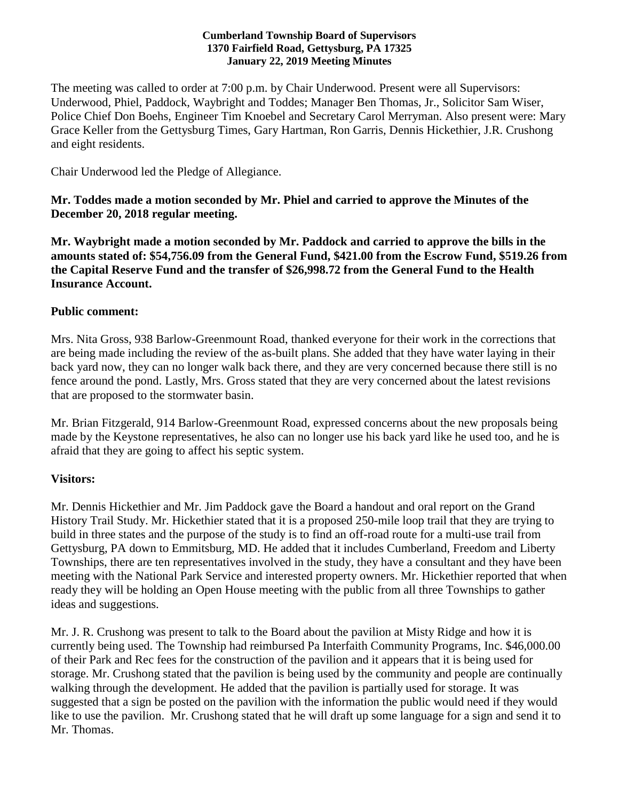#### **Cumberland Township Board of Supervisors 1370 Fairfield Road, Gettysburg, PA 17325 January 22, 2019 Meeting Minutes**

The meeting was called to order at 7:00 p.m. by Chair Underwood. Present were all Supervisors: Underwood, Phiel, Paddock, Waybright and Toddes; Manager Ben Thomas, Jr., Solicitor Sam Wiser, Police Chief Don Boehs, Engineer Tim Knoebel and Secretary Carol Merryman. Also present were: Mary Grace Keller from the Gettysburg Times, Gary Hartman, Ron Garris, Dennis Hickethier, J.R. Crushong and eight residents.

Chair Underwood led the Pledge of Allegiance.

**Mr. Toddes made a motion seconded by Mr. Phiel and carried to approve the Minutes of the December 20, 2018 regular meeting.**

**Mr. Waybright made a motion seconded by Mr. Paddock and carried to approve the bills in the amounts stated of: \$54,756.09 from the General Fund, \$421.00 from the Escrow Fund, \$519.26 from the Capital Reserve Fund and the transfer of \$26,998.72 from the General Fund to the Health Insurance Account.**

### **Public comment:**

Mrs. Nita Gross, 938 Barlow-Greenmount Road, thanked everyone for their work in the corrections that are being made including the review of the as-built plans. She added that they have water laying in their back yard now, they can no longer walk back there, and they are very concerned because there still is no fence around the pond. Lastly, Mrs. Gross stated that they are very concerned about the latest revisions that are proposed to the stormwater basin.

Mr. Brian Fitzgerald, 914 Barlow-Greenmount Road, expressed concerns about the new proposals being made by the Keystone representatives, he also can no longer use his back yard like he used too, and he is afraid that they are going to affect his septic system.

# **Visitors:**

Mr. Dennis Hickethier and Mr. Jim Paddock gave the Board a handout and oral report on the Grand History Trail Study. Mr. Hickethier stated that it is a proposed 250-mile loop trail that they are trying to build in three states and the purpose of the study is to find an off-road route for a multi-use trail from Gettysburg, PA down to Emmitsburg, MD. He added that it includes Cumberland, Freedom and Liberty Townships, there are ten representatives involved in the study, they have a consultant and they have been meeting with the National Park Service and interested property owners. Mr. Hickethier reported that when ready they will be holding an Open House meeting with the public from all three Townships to gather ideas and suggestions.

Mr. J. R. Crushong was present to talk to the Board about the pavilion at Misty Ridge and how it is currently being used. The Township had reimbursed Pa Interfaith Community Programs, Inc. \$46,000.00 of their Park and Rec fees for the construction of the pavilion and it appears that it is being used for storage. Mr. Crushong stated that the pavilion is being used by the community and people are continually walking through the development. He added that the pavilion is partially used for storage. It was suggested that a sign be posted on the pavilion with the information the public would need if they would like to use the pavilion. Mr. Crushong stated that he will draft up some language for a sign and send it to Mr. Thomas.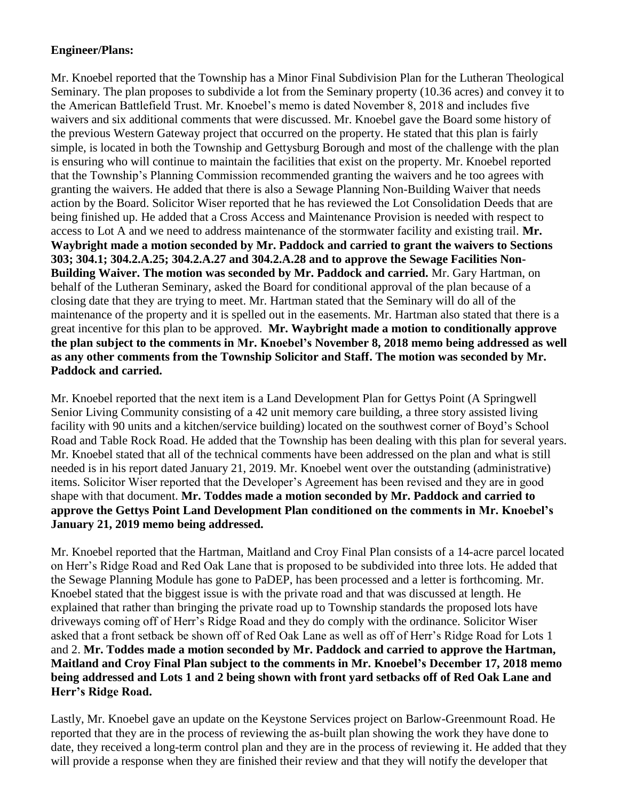# **Engineer/Plans:**

Mr. Knoebel reported that the Township has a Minor Final Subdivision Plan for the Lutheran Theological Seminary. The plan proposes to subdivide a lot from the Seminary property (10.36 acres) and convey it to the American Battlefield Trust. Mr. Knoebel's memo is dated November 8, 2018 and includes five waivers and six additional comments that were discussed. Mr. Knoebel gave the Board some history of the previous Western Gateway project that occurred on the property. He stated that this plan is fairly simple, is located in both the Township and Gettysburg Borough and most of the challenge with the plan is ensuring who will continue to maintain the facilities that exist on the property. Mr. Knoebel reported that the Township's Planning Commission recommended granting the waivers and he too agrees with granting the waivers. He added that there is also a Sewage Planning Non-Building Waiver that needs action by the Board. Solicitor Wiser reported that he has reviewed the Lot Consolidation Deeds that are being finished up. He added that a Cross Access and Maintenance Provision is needed with respect to access to Lot A and we need to address maintenance of the stormwater facility and existing trail. **Mr. Waybright made a motion seconded by Mr. Paddock and carried to grant the waivers to Sections 303; 304.1; 304.2.A.25; 304.2.A.27 and 304.2.A.28 and to approve the Sewage Facilities Non-Building Waiver. The motion was seconded by Mr. Paddock and carried.** Mr. Gary Hartman, on behalf of the Lutheran Seminary, asked the Board for conditional approval of the plan because of a closing date that they are trying to meet. Mr. Hartman stated that the Seminary will do all of the maintenance of the property and it is spelled out in the easements. Mr. Hartman also stated that there is a great incentive for this plan to be approved. **Mr. Waybright made a motion to conditionally approve the plan subject to the comments in Mr. Knoebel's November 8, 2018 memo being addressed as well as any other comments from the Township Solicitor and Staff. The motion was seconded by Mr. Paddock and carried.** 

Mr. Knoebel reported that the next item is a Land Development Plan for Gettys Point (A Springwell Senior Living Community consisting of a 42 unit memory care building, a three story assisted living facility with 90 units and a kitchen/service building) located on the southwest corner of Boyd's School Road and Table Rock Road. He added that the Township has been dealing with this plan for several years. Mr. Knoebel stated that all of the technical comments have been addressed on the plan and what is still needed is in his report dated January 21, 2019. Mr. Knoebel went over the outstanding (administrative) items. Solicitor Wiser reported that the Developer's Agreement has been revised and they are in good shape with that document. **Mr. Toddes made a motion seconded by Mr. Paddock and carried to approve the Gettys Point Land Development Plan conditioned on the comments in Mr. Knoebel's January 21, 2019 memo being addressed.**

Mr. Knoebel reported that the Hartman, Maitland and Croy Final Plan consists of a 14-acre parcel located on Herr's Ridge Road and Red Oak Lane that is proposed to be subdivided into three lots. He added that the Sewage Planning Module has gone to PaDEP, has been processed and a letter is forthcoming. Mr. Knoebel stated that the biggest issue is with the private road and that was discussed at length. He explained that rather than bringing the private road up to Township standards the proposed lots have driveways coming off of Herr's Ridge Road and they do comply with the ordinance. Solicitor Wiser asked that a front setback be shown off of Red Oak Lane as well as off of Herr's Ridge Road for Lots 1 and 2. **Mr. Toddes made a motion seconded by Mr. Paddock and carried to approve the Hartman, Maitland and Croy Final Plan subject to the comments in Mr. Knoebel's December 17, 2018 memo being addressed and Lots 1 and 2 being shown with front yard setbacks off of Red Oak Lane and Herr's Ridge Road.** 

Lastly, Mr. Knoebel gave an update on the Keystone Services project on Barlow-Greenmount Road. He reported that they are in the process of reviewing the as-built plan showing the work they have done to date, they received a long-term control plan and they are in the process of reviewing it. He added that they will provide a response when they are finished their review and that they will notify the developer that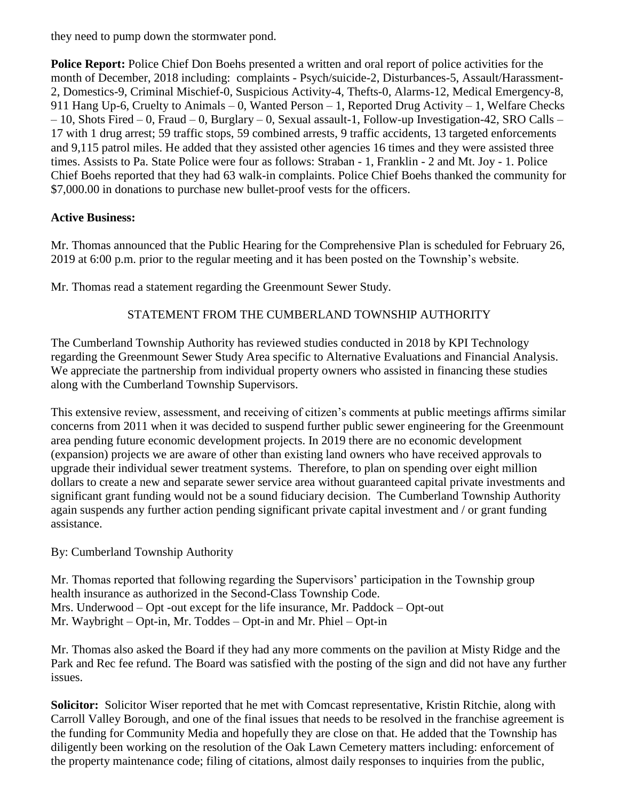they need to pump down the stormwater pond.

**Police Report:** Police Chief Don Boehs presented a written and oral report of police activities for the month of December, 2018 including: complaints - Psych/suicide-2, Disturbances-5, Assault/Harassment-2, Domestics-9, Criminal Mischief-0, Suspicious Activity-4, Thefts-0, Alarms-12, Medical Emergency-8, 911 Hang Up-6, Cruelty to Animals – 0, Wanted Person – 1, Reported Drug Activity – 1, Welfare Checks – 10, Shots Fired – 0, Fraud – 0, Burglary – 0, Sexual assault-1, Follow-up Investigation-42, SRO Calls – 17 with 1 drug arrest; 59 traffic stops, 59 combined arrests, 9 traffic accidents, 13 targeted enforcements and 9,115 patrol miles. He added that they assisted other agencies 16 times and they were assisted three times. Assists to Pa. State Police were four as follows: Straban - 1, Franklin - 2 and Mt. Joy - 1. Police Chief Boehs reported that they had 63 walk-in complaints. Police Chief Boehs thanked the community for \$7,000.00 in donations to purchase new bullet-proof vests for the officers.

# **Active Business:**

Mr. Thomas announced that the Public Hearing for the Comprehensive Plan is scheduled for February 26, 2019 at 6:00 p.m. prior to the regular meeting and it has been posted on the Township's website.

Mr. Thomas read a statement regarding the Greenmount Sewer Study.

# STATEMENT FROM THE CUMBERLAND TOWNSHIP AUTHORITY

The Cumberland Township Authority has reviewed studies conducted in 2018 by KPI Technology regarding the Greenmount Sewer Study Area specific to Alternative Evaluations and Financial Analysis. We appreciate the partnership from individual property owners who assisted in financing these studies along with the Cumberland Township Supervisors.

This extensive review, assessment, and receiving of citizen's comments at public meetings affirms similar concerns from 2011 when it was decided to suspend further public sewer engineering for the Greenmount area pending future economic development projects. In 2019 there are no economic development (expansion) projects we are aware of other than existing land owners who have received approvals to upgrade their individual sewer treatment systems. Therefore, to plan on spending over eight million dollars to create a new and separate sewer service area without guaranteed capital private investments and significant grant funding would not be a sound fiduciary decision. The Cumberland Township Authority again suspends any further action pending significant private capital investment and / or grant funding assistance.

# By: Cumberland Township Authority

Mr. Thomas reported that following regarding the Supervisors' participation in the Township group health insurance as authorized in the Second-Class Township Code. Mrs. Underwood – Opt -out except for the life insurance, Mr. Paddock – Opt-out Mr. Waybright – Opt-in, Mr. Toddes – Opt-in and Mr. Phiel – Opt-in

Mr. Thomas also asked the Board if they had any more comments on the pavilion at Misty Ridge and the Park and Rec fee refund. The Board was satisfied with the posting of the sign and did not have any further issues.

**Solicitor:** Solicitor Wiser reported that he met with Comcast representative, Kristin Ritchie, along with Carroll Valley Borough, and one of the final issues that needs to be resolved in the franchise agreement is the funding for Community Media and hopefully they are close on that. He added that the Township has diligently been working on the resolution of the Oak Lawn Cemetery matters including: enforcement of the property maintenance code; filing of citations, almost daily responses to inquiries from the public,